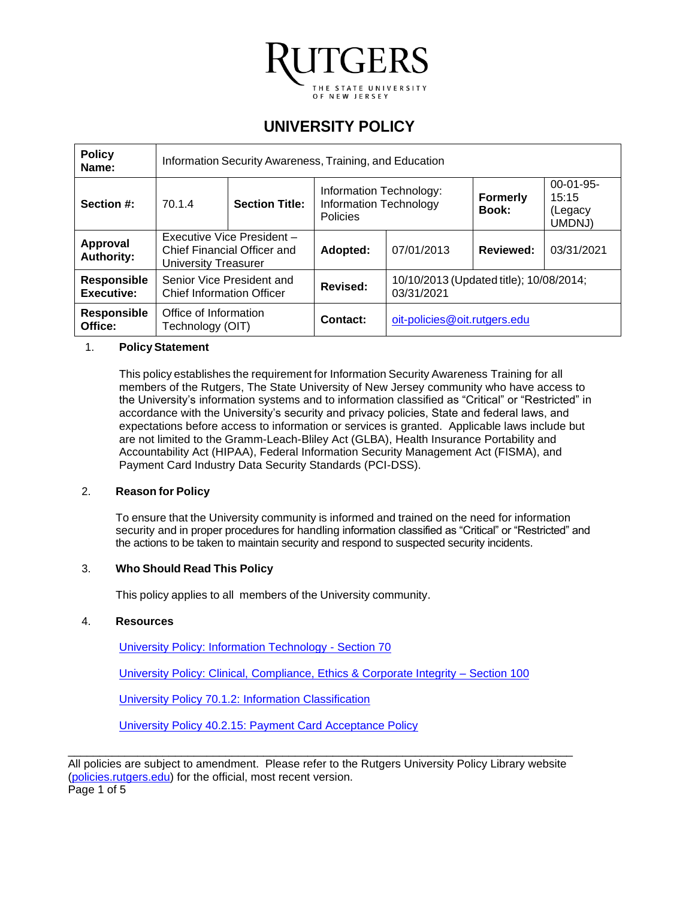

# **UNIVERSITY POLICY**

| <b>Policy</b><br>Name:                  | Information Security Awareness, Training, and Education                           |                       |                                                                      |                                                       |                          |                                           |  |
|-----------------------------------------|-----------------------------------------------------------------------------------|-----------------------|----------------------------------------------------------------------|-------------------------------------------------------|--------------------------|-------------------------------------------|--|
| Section #:                              | 70.1.4                                                                            | <b>Section Title:</b> | Information Technology:<br><b>Information Technology</b><br>Policies |                                                       | <b>Formerly</b><br>Book: | $00-01-95-$<br>15:15<br>(Legacy<br>UMDNJ) |  |
| Approval<br><b>Authority:</b>           | Executive Vice President -<br>Chief Financial Officer and<br>University Treasurer |                       | Adopted:                                                             | 07/01/2013                                            | <b>Reviewed:</b>         | 03/31/2021                                |  |
| <b>Responsible</b><br><b>Executive:</b> | Senior Vice President and<br><b>Chief Information Officer</b>                     |                       | Revised:                                                             | 10/10/2013 (Updated title); 10/08/2014;<br>03/31/2021 |                          |                                           |  |
| <b>Responsible</b><br>Office:           | Office of Information<br>Technology (OIT)                                         |                       | Contact:                                                             | oit-policies@oit.rutgers.edu                          |                          |                                           |  |

#### 1. **PolicyStatement**

This policy establishes the requirement for Information Security Awareness Training for all members of the Rutgers, The State University of New Jersey community who have access to the University's information systems and to information classified as "Critical" or "Restricted" in accordance with the University's security and privacy policies, State and federal laws, and expectations before access to information or services is granted. Applicable laws include but are not limited to the Gramm-Leach-Bliley Act (GLBA), Health Insurance Portability and Accountability Act (HIPAA), Federal Information Security Management Act (FISMA), and Payment Card Industry Data Security Standards (PCI-DSS).

#### 2. **Reason for Policy**

To ensure that the University community is informed and trained on the need for information security and in proper procedures for handling information classified as "Critical" or "Restricted" and the actions to be taken to maintain security and respond to suspected security incidents.

#### 3. **Who Should Read This Policy**

This policy applies to all members of the University community.

#### 4. **Resources**

[University Policy: Information Technology -](https://policies.rutgers.edu/view-policies/information-technology-%E2%80%93-section-70) Section 70

[University Policy: Clinical, Compliance, Ethics & Corporate Integrity –](https://policies.rutgers.edu/view-policies/clinical-compliance-ethics-corporate-integrity-section-100) Section 100

[University Policy 70.1.2: Information](https://policies.rutgers.edu/7012-currentpdf) Classification

[University Policy 40.2.15: Payment](https://policies.rutgers.edu/40215-currentpdf) Card Acceptance Policy

\_\_\_\_\_\_\_\_\_\_\_\_\_\_\_\_\_\_\_\_\_\_\_\_\_\_\_\_\_\_\_\_\_\_\_\_\_\_\_\_\_\_\_\_\_\_\_\_\_\_\_\_\_\_\_\_\_\_\_\_\_\_\_\_\_\_\_\_\_\_\_\_\_\_\_\_\_\_\_\_ All policies are subject to amendment. Please refer to the Rutgers University Policy Library website [\(policies.rutgers.edu\)](http://policies.rutgers.edu/) for the official, most recent version.

Page 1 of 5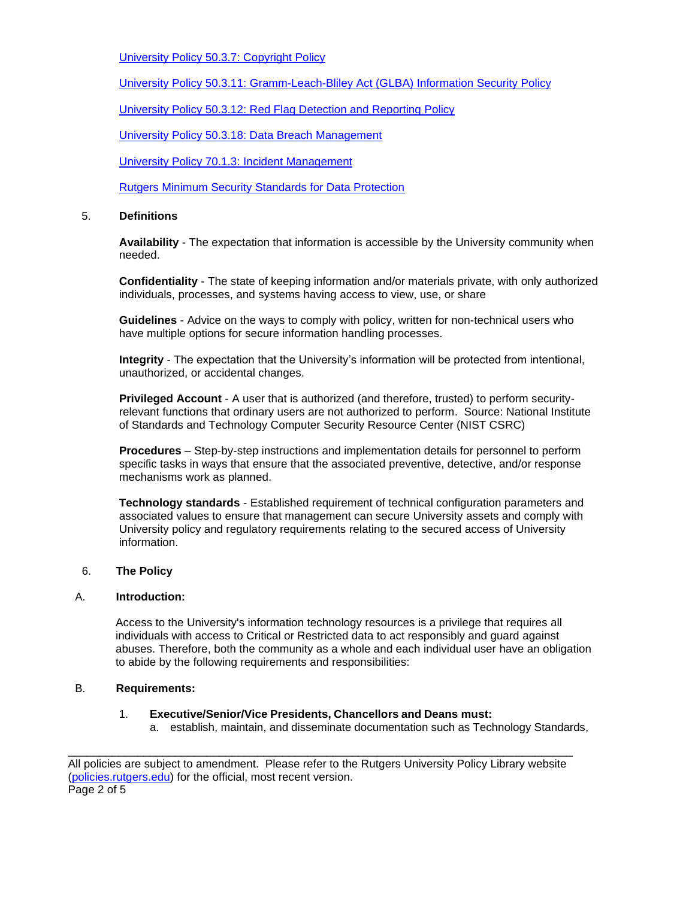[University Policy 50.3.7: Copyright](https://policies.rutgers.edu/5037-currentpdf) Policy

[University Policy 50.3.11: Gramm-Leach-Bliley](https://policies.rutgers.edu/50311-currentpdf) Act (GLBA) Information Security Policy

[University Policy 50.3.12: Red](https://policies.rutgers.edu/50312-currentpdf) Flag Detection and Reporting Policy

[University Policy 50.3.18: Data Breach Management](https://policies.rutgers.edu/50318-currentpdf)

[University Policy 70.1.3:](https://policies.rutgers.edu/7013-currentpdf) Incident Management

[Rutgers Minimum Security Standards for Data Protection](https://rusecure.rutgers.edu/content/minimum-security-standards-data-protection)

#### 5. **Definitions**

**Availability** - The expectation that information is accessible by the University community when needed.

**Confidentiality** - The state of keeping information and/or materials private, with only authorized individuals, processes, and systems having access to view, use, or share

**Guidelines** - Advice on the ways to comply with policy, written for non-technical users who have multiple options for secure information handling processes.

**Integrity** - The expectation that the University's information will be protected from intentional, unauthorized, or accidental changes.

**Privileged Account** - A user that is authorized (and therefore, trusted) to perform securityrelevant functions that ordinary users are not authorized to perform. Source: National Institute of Standards and Technology Computer Security Resource Center (NIST CSRC)

**Procedures** – Step-by-step instructions and implementation details for personnel to perform specific tasks in ways that ensure that the associated preventive, detective, and/or response mechanisms work as planned.

**Technology standards** - Established requirement of technical configuration parameters and associated values to ensure that management can secure University assets and comply with University policy and regulatory requirements relating to the secured access of University information.

#### 6. **The Policy**

#### A. **Introduction:**

Access to the University's information technology resources is a privilege that requires all individuals with access to Critical or Restricted data to act responsibly and guard against abuses. Therefore, both the community as a whole and each individual user have an obligation to abide by the following requirements and responsibilities:

### B. **Requirements:**

#### 1. **Executive/Senior/Vice Presidents, Chancellors and Deans must:**

a. establish, maintain, and disseminate documentation such as Technology Standards,

\_\_\_\_\_\_\_\_\_\_\_\_\_\_\_\_\_\_\_\_\_\_\_\_\_\_\_\_\_\_\_\_\_\_\_\_\_\_\_\_\_\_\_\_\_\_\_\_\_\_\_\_\_\_\_\_\_\_\_\_\_\_\_\_\_\_\_\_\_\_\_\_\_\_\_\_\_\_\_\_ All policies are subject to amendment. Please refer to the Rutgers University Policy Library website [\(policies.rutgers.edu\)](http://policies.rutgers.edu/) for the official, most recent version. Page 2 of 5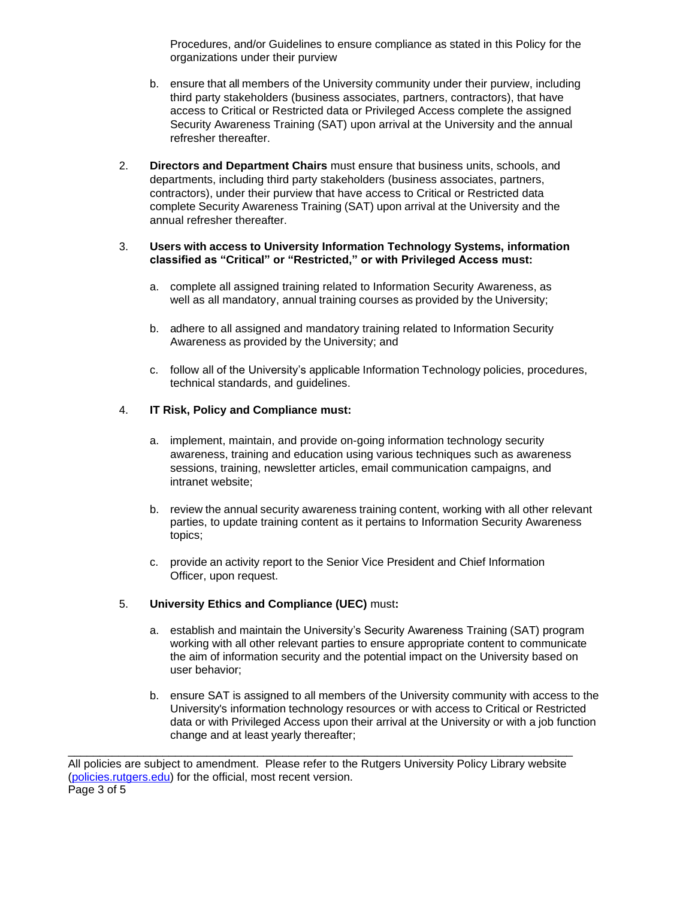Procedures, and/or Guidelines to ensure compliance as stated in this Policy for the organizations under their purview

- b. ensure that all members of the University community under their purview, including third party stakeholders (business associates, partners, contractors), that have access to Critical or Restricted data or Privileged Access complete the assigned Security Awareness Training (SAT) upon arrival at the University and the annual refresher thereafter.
- 2. **Directors and Department Chairs** must ensure that business units, schools, and departments, including third party stakeholders (business associates, partners, contractors), under their purview that have access to Critical or Restricted data complete Security Awareness Training (SAT) upon arrival at the University and the annual refresher thereafter.

#### 3. **Users with access to University Information Technology Systems, information classified as "Critical" or "Restricted," or with Privileged Access must:**

- a. complete all assigned training related to Information Security Awareness, as well as all mandatory, annual training courses as provided by the University;
- b. adhere to all assigned and mandatory training related to Information Security Awareness as provided by the University; and
- c. follow all of the University's applicable Information Technology policies, procedures, technical standards, and guidelines.

# 4. **IT Risk, Policy and Compliance must:**

- a. implement, maintain, and provide on-going information technology security awareness, training and education using various techniques such as awareness sessions, training, newsletter articles, email communication campaigns, and intranet website;
- b. review the annual security awareness training content, working with all other relevant parties, to update training content as it pertains to Information Security Awareness topics;
- c. provide an activity report to the Senior Vice President and Chief Information Officer, upon request.

#### 5. **University Ethics and Compliance (UEC)** must**:**

- a. establish and maintain the University's Security Awareness Training (SAT) program working with all other relevant parties to ensure appropriate content to communicate the aim of information security and the potential impact on the University based on user behavior;
- b. ensure SAT is assigned to all members of the University community with access to the University's information technology resources or with access to Critical or Restricted data or with Privileged Access upon their arrival at the University or with a job function change and at least yearly thereafter;

\_\_\_\_\_\_\_\_\_\_\_\_\_\_\_\_\_\_\_\_\_\_\_\_\_\_\_\_\_\_\_\_\_\_\_\_\_\_\_\_\_\_\_\_\_\_\_\_\_\_\_\_\_\_\_\_\_\_\_\_\_\_\_\_\_\_\_\_\_\_\_\_\_\_\_\_\_\_\_\_

All policies are subject to amendment. Please refer to the Rutgers University Policy Library website [\(policies.rutgers.edu\)](http://policies.rutgers.edu/) for the official, most recent version. Page 3 of 5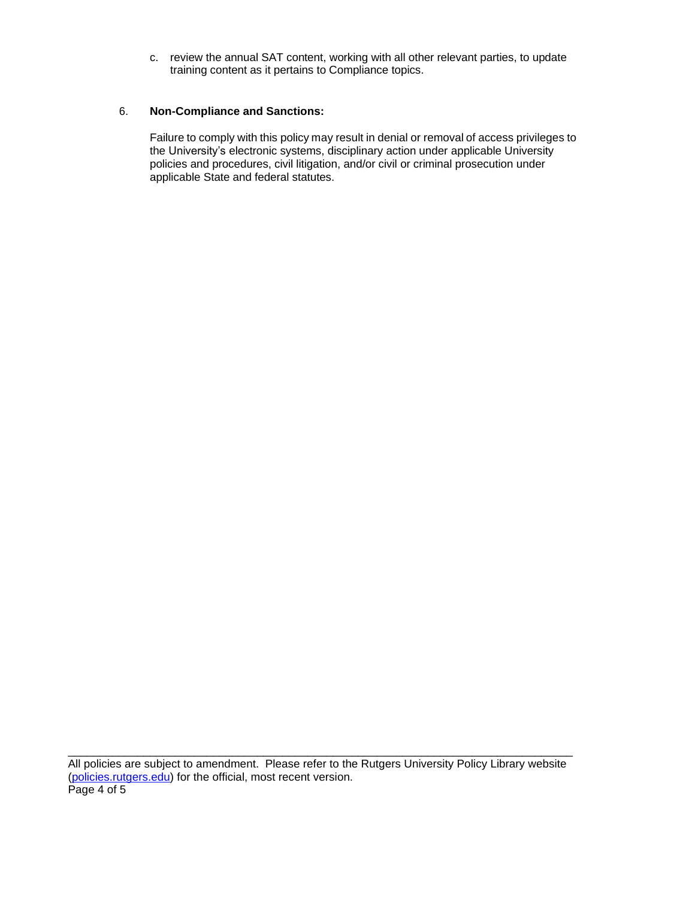c. review the annual SAT content, working with all other relevant parties, to update training content as it pertains to Compliance topics.

#### 6. **Non-Compliance and Sanctions:**

Failure to comply with this policy may result in denial or removal of access privileges to the University's electronic systems, disciplinary action under applicable University policies and procedures, civil litigation, and/or civil or criminal prosecution under applicable State and federal statutes.

\_\_\_\_\_\_\_\_\_\_\_\_\_\_\_\_\_\_\_\_\_\_\_\_\_\_\_\_\_\_\_\_\_\_\_\_\_\_\_\_\_\_\_\_\_\_\_\_\_\_\_\_\_\_\_\_\_\_\_\_\_\_\_\_\_\_\_\_\_\_\_\_\_\_\_\_\_\_\_\_